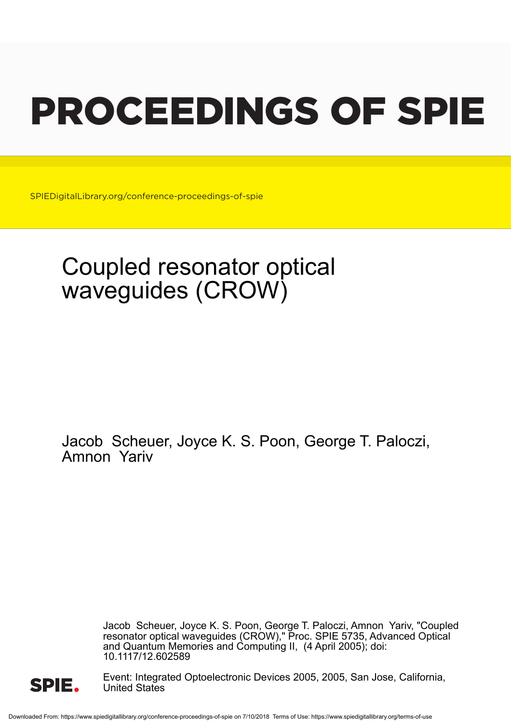# PROCEEDINGS OF SPIE

SPIEDigitalLibrary.org/conference-proceedings-of-spie

## Coupled resonator optical waveguides (CROW)

Jacob Scheuer, Joyce K. S. Poon, George T. Paloczi, Amnon Yariv

> Jacob Scheuer, Joyce K. S. Poon, George T. Paloczi, Amnon Yariv, "Coupled resonator optical waveguides (CROW)," Proc. SPIE 5735, Advanced Optical and Quantum Memories and Computing II, (4 April 2005); doi: 10.1117/12.602589



Event: Integrated Optoelectronic Devices 2005, 2005, San Jose, California, United States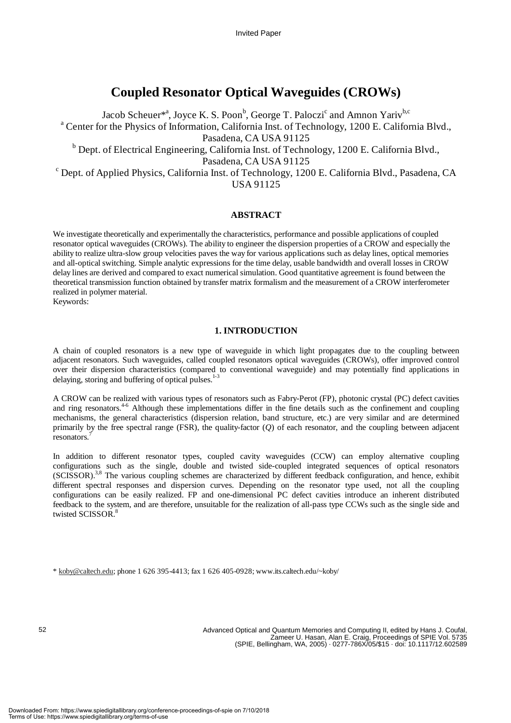### **Coupled Resonator Optical Waveguides (CROWs)**

Jacob Scheuer\*<sup>a</sup>, Joyce K. S. Poon<sup>b</sup>, George T. Paloczi<sup>c</sup> and Amnon Yariv<sup>b,c</sup> <sup>a</sup> Center for the Physics of Information, California Inst. of Technology, 1200 E. California Blvd., Pasadena, CA USA 91125 <sup>b</sup> Dept. of Electrical Engineering, California Inst. of Technology, 1200 E. California Blvd., Pasadena, CA USA 91125<br>C Dept. of Applied Physics, California Inst. of Technology, 1200 E. California Blvd., Pasadena, CA USA 91125

#### **ABSTRACT**

We investigate theoretically and experimentally the characteristics, performance and possible applications of coupled resonator optical waveguides (CROWs). The ability to engineer the dispersion properties of a CROW and especially the ability to realize ultra-slow group velocities paves the way for various applications such as delay lines, optical memories and all-optical switching. Simple analytic expressions for the time delay, usable bandwidth and overall losses in CROW delay lines are derived and compared to exact numerical simulation. Good quantitative agreement is found between the theoretical transmission function obtained by transfer matrix formalism and the measurement of a CROW interferometer realized in polymer material.

Keywords:

#### **1. INTRODUCTION**

A chain of coupled resonators is a new type of waveguide in which light propagates due to the coupling between adjacent resonators. Such waveguides, called coupled resonators optical waveguides (CROWs), offer improved control over their dispersion characteristics (compared to conventional waveguide) and may potentially find applications in delaying, storing and buffering of optical pulses.<sup>1-3</sup>

A CROW can be realized with various types of resonators such as Fabry-Perot (FP), photonic crystal (PC) defect cavities and ring resonators.<sup>4-6</sup> Although these implementations differ in the fine details such as the confinement and coupling mechanisms, the general characteristics (dispersion relation, band structure, etc.) are very similar and are determined primarily by the free spectral range (FSR), the quality-factor (*Q*) of each resonator, and the coupling between adjacent resonators.

In addition to different resonator types, coupled cavity waveguides (CCW) can employ alternative coupling configurations such as the single, double and twisted side-coupled integrated sequences of optical resonators (SCISSOR).<sup>3,8</sup> The various coupling schemes are characterized by different feedback configuration, and hence, exhibit different spectral responses and dispersion curves. Depending on the resonator type used, not all the coupling configurations can be easily realized. FP and one-dimensional PC defect cavities introduce an inherent distributed feedback to the system, and are therefore, unsuitable for the realization of all-pass type CCWs such as the single side and twisted SCISSOR.<sup>8</sup>

 $*$  koby@caltech.edu; phone 1 626 395-4413; fax 1 626 405-0928; www.its.caltech.edu/~koby/

52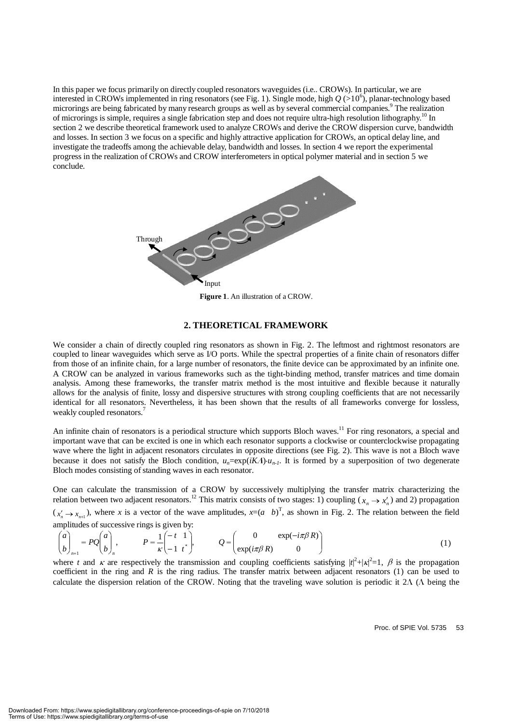In this paper we focus primarily on directly coupled resonators waveguides (i.e.. CROWs). In particular, we are interested in CROWs implemented in ring resonators (see Fig. 1). Single mode, high  $Q$  (>10<sup>6</sup>), planar-technology based microrings are being fabricated by many research groups as well as by several commercial companies.<sup>9</sup> The realization of microrings is simple, requires a single fabrication step and does not require ultra-high resolution lithography.<sup>10</sup> In section 2 we describe theoretical framework used to analyze CROWs and derive the CROW dispersion curve, bandwidth and losses. In section 3 we focus on a specific and highly attractive application for CROWs, an optical delay line, and investigate the tradeoffs among the achievable delay, bandwidth and losses. In section 4 we report the experimental progress in the realization of CROWs and CROW interferometers in optical polymer material and in section 5 we conclude.



**Figure 1**. An illustration of a CROW.

#### **2. THEORETICAL FRAMEWORK**

We consider a chain of directly coupled ring resonators as shown in Fig. 2. The leftmost and rightmost resonators are coupled to linear waveguides which serve as I/O ports. While the spectral properties of a finite chain of resonators differ from those of an infinite chain, for a large number of resonators, the finite device can be approximated by an infinite one. A CROW can be analyzed in various frameworks such as the tight-binding method, transfer matrices and time domain analysis. Among these frameworks, the transfer matrix method is the most intuitive and flexible because it naturally allows for the analysis of finite, lossy and dispersive structures with strong coupling coefficients that are not necessarily identical for all resonators. Nevertheless, it has been shown that the results of all frameworks converge for lossless, weakly coupled resonators.<sup>7</sup>

An infinite chain of resonators is a periodical structure which supports Bloch waves.<sup>11</sup> For ring resonators, a special and important wave that can be excited is one in which each resonator supports a clockwise or counterclockwise propagating wave where the light in adjacent resonators circulates in opposite directions (see Fig. 2). This wave is not a Bloch wave because it does not satisfy the Bloch condition,  $u_n = \exp(iK\Lambda) \cdot u_{n-1}$ . It is formed by a superposition of two degenerate Bloch modes consisting of standing waves in each resonator. Bloch modes consisting of standing waves in each resonator.

One can calculate the transmission of a CROW by successively multiplying the transfer matrix characterizing the relation between two adjacent resonators.<sup>12</sup> This matrix consists of two stages: 1) coupling ( $x_n \to x'_n$ ) and 2) propagation  $(x_n' \rightarrow x_{n+1})$ , where *x* is a vector of the wave amplitudes,  $x=(a \ b)^T$ , as shown in Fig. 2. The relation between the field amplitudes of successive rings is given by:

$$
\begin{pmatrix} a \\ b \end{pmatrix}_{n+1} = PQ \begin{pmatrix} a \\ b \end{pmatrix}_{n}, \qquad P = \frac{1}{\kappa} \begin{pmatrix} -t & 1 \\ -1 & t \end{pmatrix}, \qquad Q = \begin{pmatrix} 0 & \exp(-i\pi\beta R) \\ \exp(i\pi\beta R) & 0 \end{pmatrix}
$$
 (1)

where *t* and *κ* are respectively the transmission and coupling coefficients satisfying  $|t|^2 + |x|^2 = 1$ , *β* is the propagation and *R* is the ring and *R* is the ring redition. The transfer metrix hetween editional reson coefficient in the ring and *R* is the ring radius. The transfer matrix between adjacent resonators (1) can be used to calculate the dispersion relation of the CROW. Noting that the traveling wave solution is periodic it 2Λ (Λ being the

Proc. of SPIE Vol. 5735 53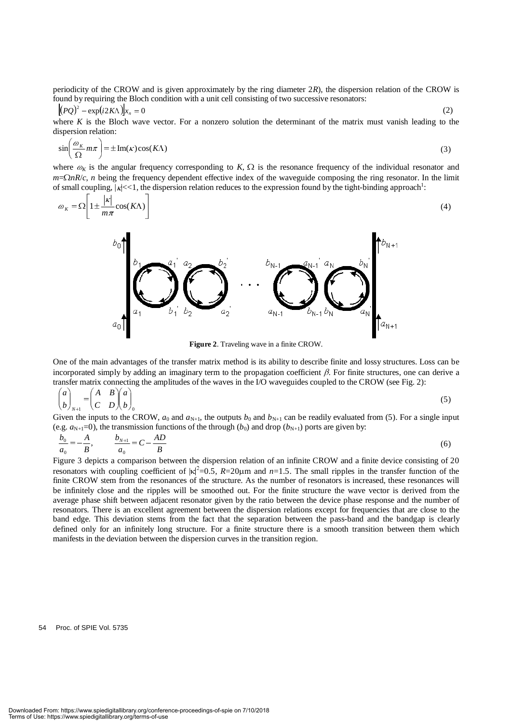periodicity of the CROW and is given approximately by the ring diameter 2*R*), the dispersion relation of the CROW is found by requiring the Bloch condition with a unit cell consisting of two successive resonators:

$$
[(PQ)^{2} - \exp(i2K\Lambda)]x_{n} = 0
$$
 (2)  
where K is the Bloch wave vector. For a nonzero solution the determinant of the matrix must vanish leading to the

dispersion relation:

$$
\sin\left(\frac{\omega_K}{\Omega}m\pi\right) = \pm \text{Im}(\kappa)\cos(K\Lambda) \tag{3}
$$

where  $\omega_K$  is the angular frequency corresponding to *K*,  $\Omega$  is the resonance frequency of the individual resonator and  $m = \Omega_R R/c$ , *n* being the frequency dependent effective index of the waveguide composing the ring r *<sup>m</sup>*=Ω*nR*/*c*, *n* being the frequency dependent effective index of the waveguide composing the ring resonator. In the limit of small coupling,  $|x| \ll 1$ , the dispersion relation reduces to the expression found by the tight-binding approach<sup>1</sup>:

$$
\omega_K = \Omega \left[ 1 \pm \frac{|\kappa|}{m\pi} \cos(K\Lambda) \right] \tag{4}
$$



**Figure 2**. Traveling wave in a finite CROW.

One of the main advantages of the transfer matrix method is its ability to describe finite and lossy structures. Loss can be incorporated simply by adding an imaginary term to the propagation coefficient  $\beta$ . For finite structures, one can derive a transfer matrix connecting the amplitudes of the waves in the I/O waveguides coupled to the CROW (see Fig. 2):

$$
\begin{pmatrix} a \\ b \end{pmatrix}_{N+1} = \begin{pmatrix} A & B \\ C & D \end{pmatrix} \begin{pmatrix} a \\ b \end{pmatrix}_{0}
$$
\nGiven the inputs to the CROW,  $a_0$  and  $a_{N+1}$ , the outputs  $b_0$  and  $b_{N+1}$  can be readily evaluated from (5). For a single input

(e.g.  $a_{N+1}=0$ ), the transmission functions of the through ( $b_0$ ) and drop ( $b_{N+1}$ ) ports are given by:

$$
\frac{b_0}{a_0} = -\frac{A}{B}, \qquad \frac{b_{N+1}}{a_0} = C - \frac{AD}{B}
$$
(6)  
Figure 3 depicts a comparison between the dispersion relation of an infinite CROW and a finite device consisting of 20

resonators with coupling coefficient of  $|\kappa|^2 = 0.5$ ,  $R = 20\mu$ m and  $n = 1.5$ . The small ripples in the transfer function of the function of the small ripples in the transfer function of the small ripples of the small rip finite CROW stem from the resonances of the structure. As the number of resonators is increased, these resonances will be infinitely close and the ripples will be smoothed out. For the finite structure the wave vector is derived from the average phase shift between adjacent resonator given by the ratio between the device phase response and the number of resonators. There is an excellent agreement between the dispersion relations except for frequencies that are close to the band edge. This deviation stems from the fact that the separation between the pass-band and the bandgap is clearly defined only for an infinitely long structure. For a finite structure there is a smooth transition between them which manifests in the deviation between the dispersion curves in the transition region.

54 Proc. of SPIE Vol. 5735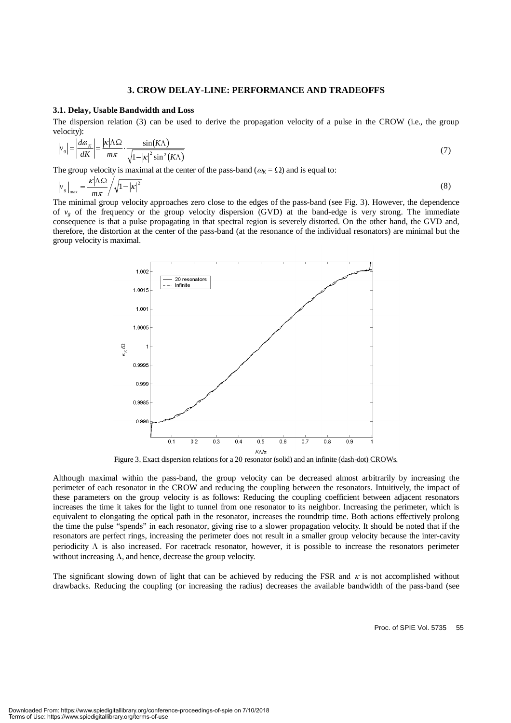#### **3. CROW DELAY-LINE: PERFORMANCE AND TRADEOFFS**

#### **3.1. Delay, Usable Bandwidth and Loss**

The dispersion relation (3) can be used to derive the propagation velocity of a pulse in the CROW (i.e., the group velocity):

$$
|v_g| = \left| \frac{d\omega_K}{dK} \right| = \frac{|\kappa| \Lambda \Omega}{m\pi} \cdot \frac{\sin(K\Lambda)}{\sqrt{1 - |\kappa|^2 \sin^2(K\Lambda)}}
$$
(7)

The group velocity is maximal at the center of the pass-band ( $\omega_K = \Omega$ ) and is equal to:

$$
\left|v_g\right|_{\text{max}} = \frac{|\kappa|\Lambda\Omega}{m\pi} / \sqrt{1-|\kappa|^2}
$$
 (8)  
The minimal group velocity approaches zero close to the edges of the pass-band (see Fig. 3). However, the dependence

of  $v_g$  of the frequency or the group velocity dispersion (GVD) at the band-edge is very strong. The immediate consequence is that a pulse propagating in that spectral region is severely distorted. On the other hand, the GVD and, therefore, the distortion at the center of the pass-band (at the resonance of the individual resonators) are minimal but the group velocity is maximal.



Figure 3. Exact dispersion relations for a 20 resonator (solid) and an infinite (dash-dot) CROWs.

Although maximal within the pass-band, the group velocity can be decreased almost arbitrarily by increasing the perimeter of each resonator in the CROW and reducing the coupling between the resonators. Intuitively, the impact of these parameters on the group velocity is as follows: Reducing the coupling coefficient between adjacent resonators increases the time it takes for the light to tunnel from one resonator to its neighbor. Increasing the perimeter, which is equivalent to elongating the optical path in the resonator, increases the roundtrip time. Both actions effectively prolong the time the pulse "spends" in each resonator, giving rise to a slower propagation velocity. It should be noted that if the resonators are perfect rings, increasing the perimeter does not result in a smaller group velocity because the inter-cavity periodicity  $\Lambda$  is also increased. For racetrack resonator, however, it is possible to increase the resonators perimeter without increasing  $\Lambda$ , and hence, decrease the group velocity.

The significant slowing down of light that can be achieved by reducing the FSR and  $\kappa$  is not accomplished without drawbacks. Reducing the coupling (or increasing the radius) decreases the available bandwidth of the pass-band (see

Proc. of SPIE Vol. 5735 55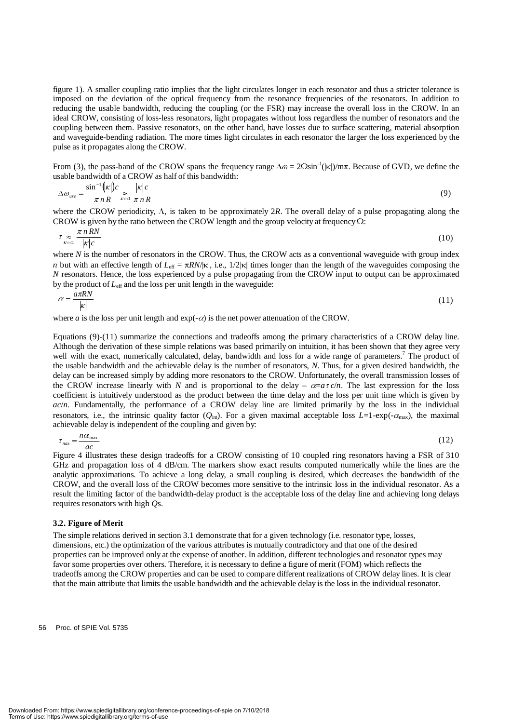figure 1). A smaller coupling ratio implies that the light circulates longer in each resonator and thus a stricter tolerance is imposed on the deviation of the optical frequency from the resonance frequencies of the resonators. In addition to reducing the usable bandwidth, reducing the coupling (or the FSR) may increase the overall loss in the CROW. In an ideal CROW, consisting of loss-less resonators, light propagates without loss regardless the number of resonators and the coupling between them. Passive resonators, on the other hand, have losses due to surface scattering, material absorption and waveguide-bending radiation. The more times light circulates in each resonator the larger the loss experienced by the pulse as it propagates along the CROW.

From (3), the pass-band of the CROW spans the frequency range  $\Delta \omega = 2\Omega \sin^{-1}(|\kappa|)/m\pi$ . Because of GVD, we define the usable bandwidth of a CROW as half of this bandwidth:

$$
\Delta \omega_{use} = \frac{\sin^{-1}(|\mathbf{x}|)c}{\pi n R} \approx \frac{|\mathbf{x}|c}{\pi n R}
$$
\n(9)

where the CROW periodicity, Λ, is taken to be approximately 2*R*. The overall delay of a pulse propagating along the CROW is given by the ratio between the CROW length and the group velocity at frequency O: CROW is given by the ratio between the CROW length and the group velocity at frequency  $\Omega$ :

$$
\tau \underset{\kappa < 1}{\approx} \frac{\pi n \, RN}{|\kappa|c} \tag{10}
$$

where *N* is the number of resonators in the CROW. Thus, the CROW acts as a conventional waveguide with group index *n* but with an effective length of  $L_{\text{eff}} = \pi R N/|\kappa|$ , i.e.,  $1/2|\kappa|$  times longer than the length of the waveguides composing the *N* resonators. Hence, the loss experienced by a pulse propagating from the CROW input to output can be approximated by the product of *L*eff and the loss per unit length in the waveguide:

$$
\alpha = \frac{a\pi RN}{|\kappa|} \tag{11}
$$

where *a* is the loss per unit length and  $exp(-\alpha)$  is the net power attenuation of the CROW.

Equations (9)-(11) summarize the connections and tradeoffs among the primary characteristics of a CROW delay line. Although the derivation of these simple relations was based primarily on intuition, it has been shown that they agree very well with the exact, numerically calculated, delay, bandwidth and loss for a wide range of parameters.<sup>7</sup> The product of the usable bandwidth and the achievable delay is the number of resonators, *N*. Thus, for a given desired bandwidth, the delay can be increased simply by adding more resonators to the CROW. Unfortunately, the overall transmission losses of the CROW increase linearly with *N* and is proportional to the delay –  $\alpha = a\tau c/n$ . The last expression for the loss coefficient is intuitively understood as the product between the time delay and the loss per unit time which is given by *ac*/*n*. Fundamentally, the performance of a CROW delay line are limited primarily by the loss in the individual resonators, i.e., the intrinsic quality factor ( $Q_{int}$ ). For a given maximal acceptable loss  $L=1$ -exp(- $\alpha_{max}$ ), the maximal achievable delay is independent of the coupling and given by:

$$
\tau_{\text{max}} = \frac{n\alpha_{\text{max}}}{ac}
$$
\nFigure 4 illustrates these design tradeoffs for a CROW consisting of 10 coupled ring resonators having a FSR of 310

GHz and propagation loss of 4 dB/cm. The markers show exact results computed numerically while the lines are the analytic approximations. To achieve a long delay, a small coupling is desired, which decreases the bandwidth of the CROW, and the overall loss of the CROW becomes more sensitive to the intrinsic loss in the individual resonator. As a result the limiting factor of the bandwidth-delay product is the acceptable loss of the delay line and achieving long delays requires resonators with high *Q*s.

#### **3.2. Figure of Merit**

The simple relations derived in section 3.1 demonstrate that for a given technology (i.e. resonator type, losses, dimensions, etc.) the optimization of the various attributes is mutually contradictory and that one of the desired properties can be improved only at the expense of another. In addition, different technologies and resonator types may favor some properties over others. Therefore, it is necessary to define a figure of merit (FOM) which reflects the tradeoffs among the CROW properties and can be used to compare different realizations of CROW delay lines. It is clear that the main attribute that limits the usable bandwidth and the achievable delay is the loss in the individual resonator.

56 Proc. of SPIE Vol. 5735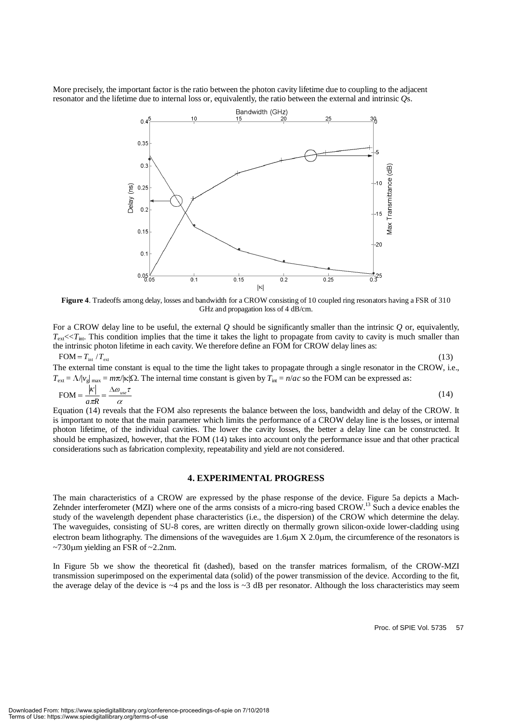More precisely, the important factor is the ratio between the photon cavity lifetime due to coupling to the adjacent resonator and the lifetime due to internal loss or, equivalently, the ratio between the external and intrinsic *Q*s.



**Figure 4**. Tradeoffs among delay, losses and bandwidth for a CROW consisting of 10 coupled ring resonators having a FSR of 310 GHz and propagation loss of 4 dB/cm.

For a CROW delay line to be useful, the external *Q* should be significantly smaller than the intrinsic *Q* or, equivalently,  $T_{\text{ext}} \ll T_{\text{int}}$ . This condition implies that the time it takes the light to propagate from cavity to cavity is much smaller than the intrinsic photon lifetime in each cavity. We therefore define an FOM for CROW delay lines as:  $FOM = T_{int} / T_{ext}$ 

 $FOM = T_{int} / T_{ext}$  (13) The external time constant is equal to the time the light takes to propagate through a single resonator in the CROW, i.e.,  $T_{ext} = \Lambda / v_g$   $_{max} = m\pi / |\kappa| \Omega$ . The internal time constant is given by  $T_{int} = n / ac$  so the FOM can be expressed as:

$$
\text{FOM} = \frac{|\kappa|}{a\pi R} = \frac{\Delta \omega_{use}\tau}{\alpha} \tag{14}
$$

Equation (14) reveals that the FOM also represents the balance between the loss, bandwidth and delay of the CROW. It is important to note that the main parameter which limits the performance of a CROW delay line is the losses, or internal photon lifetime, of the individual cavities. The lower the cavity losses, the better a delay line can be constructed. It should be emphasized, however, that the FOM (14) takes into account only the performance issue and that other practical considerations such as fabrication complexity, repeatability and yield are not considered.

#### **4. EXPERIMENTAL PROGRESS**

The main characteristics of a CROW are expressed by the phase response of the device. Figure 5a depicts a Mach-Zehnder interferometer (MZI) where one of the arms consists of a micro-ring based CROW.<sup>13</sup> Such a device enables the study of the wavelength dependent phase characteristics (i.e., the dispersion) of the CROW which determine the delay. The waveguides, consisting of SU-8 cores, are written directly on thermally grown silicon-oxide lower-cladding using electron beam lithography. The dimensions of the waveguides are  $1.6\mu m \times 2.0\mu m$ , the circumference of the resonators is  $\sim$ 730 $\mu$ m yielding an FSR of  $\sim$ 2.2nm.

In Figure 5b we show the theoretical fit (dashed), based on the transfer matrices formalism, of the CROW-MZI transmission superimposed on the experimental data (solid) of the power transmission of the device. According to the fit, the average delay of the device is  $\sim$ 4 ps and the loss is  $\sim$ 3 dB per resonator. Although the loss characteristics may seem

Proc. of SPIE Vol. 5735 57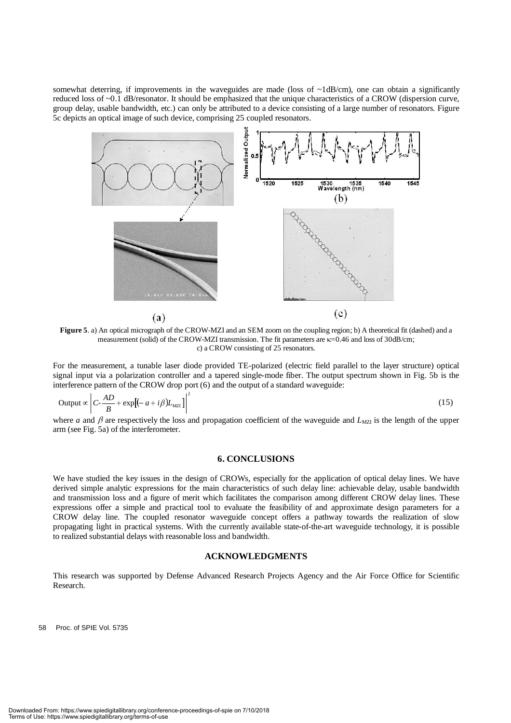somewhat deterring, if improvements in the waveguides are made (loss of  $\nu$ 1dB/cm), one can obtain a significantly reduced loss of ~0.1 dB/resonator. It should be emphasized that the unique characteristics of a CROW (dispersion curve, group delay, usable bandwidth, etc.) can only be attributed to a device consisting of a large number of resonators. Figure 5c depicts an optical image of such device, comprising 25 coupled resonators.



**Figure 5**. a) An optical micrograph of the CROW-MZI and an SEM zoom on the coupling region; b) A theoretical fit (dashed) and a measurement (solid) of the CROW-MZI transmission. The fit parameters are  $\kappa$ =0.46 and loss of 30dB/cm; c) a CROW consisting of 25 resonators.

For the measurement, a tunable laser diode provided TE-polarized (electric field parallel to the layer structure) optical signal input via a polarization controller and a tapered single-mode fiber. The output spectrum shown in Fig. 5b is the interference pattern of the CROW drop port (6) and the output of a standard waveguide:

Output 
$$
\propto \left| C \cdot \frac{AD}{B} + \exp \left[ (-a + i\beta) L_{\text{MZI}} \right] \right|^2
$$
 (15)

where *a* and  $\beta$  are respectively the loss and propagation coefficient of the waveguide and  $L_{MZI}$  is the length of the upper arm (see Fig. 5a) of the interferometer.

#### **6. CONCLUSIONS**

We have studied the key issues in the design of CROWs, especially for the application of optical delay lines. We have derived simple analytic expressions for the main characteristics of such delay line: achievable delay, usable bandwidth and transmission loss and a figure of merit which facilitates the comparison among different CROW delay lines. These expressions offer a simple and practical tool to evaluate the feasibility of and approximate design parameters for a CROW delay line. The coupled resonator waveguide concept offers a pathway towards the realization of slow propagating light in practical systems. With the currently available state-of-the-art waveguide technology, it is possible to realized substantial delays with reasonable loss and bandwidth.

#### **ACKNOWLEDGMENTS**

This research was supported by Defense Advanced Research Projects Agency and the Air Force Office for Scientific Research.

58 Proc. of SPIE Vol. 5735